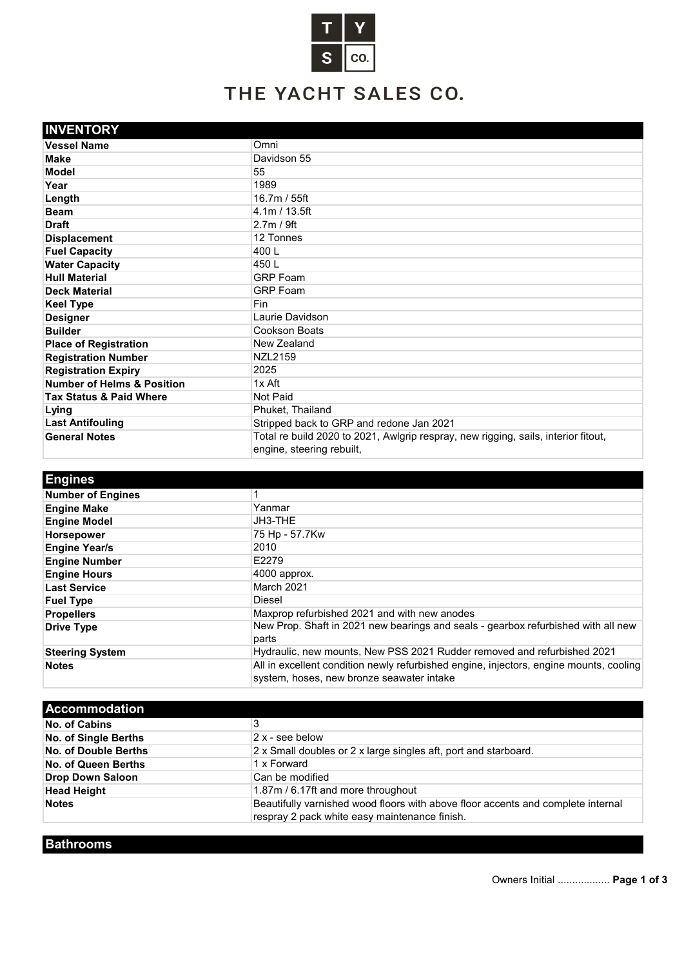

## THE YACHT SALES CO.

| <b>INVENTORY</b>                      |                                                                                                                 |
|---------------------------------------|-----------------------------------------------------------------------------------------------------------------|
| <b>Vessel Name</b>                    | Omni                                                                                                            |
| <b>Make</b>                           | Davidson 55                                                                                                     |
| <b>Model</b>                          | 55                                                                                                              |
| Year                                  | 1989                                                                                                            |
| Length                                | 16.7m / 55ft                                                                                                    |
| <b>Beam</b>                           | 4.1m / 13.5ft                                                                                                   |
| <b>Draft</b>                          | 2.7m / 9ft                                                                                                      |
| <b>Displacement</b>                   | 12 Tonnes                                                                                                       |
| <b>Fuel Capacity</b>                  | 400 L                                                                                                           |
| <b>Water Capacity</b>                 | 450 L                                                                                                           |
| <b>Hull Material</b>                  | <b>GRP</b> Foam                                                                                                 |
| <b>Deck Material</b>                  | <b>GRP</b> Foam                                                                                                 |
| <b>Keel Type</b>                      | <b>Fin</b>                                                                                                      |
| <b>Designer</b>                       | Laurie Davidson                                                                                                 |
| <b>Builder</b>                        | Cookson Boats                                                                                                   |
| <b>Place of Registration</b>          | New Zealand                                                                                                     |
| <b>Registration Number</b>            | NZL2159                                                                                                         |
| <b>Registration Expiry</b>            | 2025                                                                                                            |
| <b>Number of Helms &amp; Position</b> | 1x Aft                                                                                                          |
| <b>Tax Status &amp; Paid Where</b>    | Not Paid                                                                                                        |
| Lying                                 | Phuket, Thailand                                                                                                |
| <b>Last Antifouling</b>               | Stripped back to GRP and redone Jan 2021                                                                        |
| <b>General Notes</b>                  | Total re build 2020 to 2021, Awlgrip respray, new rigging, sails, interior fitout,<br>engine, steering rebuilt, |

| <b>Engines</b>           |                                                                                                                                     |
|--------------------------|-------------------------------------------------------------------------------------------------------------------------------------|
| <b>Number of Engines</b> |                                                                                                                                     |
| <b>Engine Make</b>       | Yanmar                                                                                                                              |
| <b>Engine Model</b>      | JH3-THE                                                                                                                             |
| <b>Horsepower</b>        | 75 Hp - 57.7Kw                                                                                                                      |
| <b>Engine Year/s</b>     | 2010                                                                                                                                |
| <b>Engine Number</b>     | E2279                                                                                                                               |
| <b>Engine Hours</b>      | 4000 approx.                                                                                                                        |
| <b>Last Service</b>      | March 2021                                                                                                                          |
| <b>Fuel Type</b>         | Diesel                                                                                                                              |
| <b>Propellers</b>        | Maxprop refurbished 2021 and with new anodes                                                                                        |
| <b>Drive Type</b>        | New Prop. Shaft in 2021 new bearings and seals - gearbox refurbished with all new                                                   |
|                          | parts                                                                                                                               |
| <b>Steering System</b>   | Hydraulic, new mounts, New PSS 2021 Rudder removed and refurbished 2021                                                             |
| <b>Notes</b>             | All in excellent condition newly refurbished engine, injectors, engine mounts, cooling<br>system, hoses, new bronze seawater intake |

| <b>Accommodation</b>        |                                                                                  |
|-----------------------------|----------------------------------------------------------------------------------|
| No. of Cabins               | 3                                                                                |
| <b>No. of Single Berths</b> | 2 x - see below                                                                  |
| No. of Double Berths        | 2 x Small doubles or 2 x large singles aft, port and starboard.                  |
| No. of Queen Berths         | 1 x Forward                                                                      |
| <b>Drop Down Saloon</b>     | Can be modified                                                                  |
| <b>Head Height</b>          | 1.87m / 6.17ft and more throughout                                               |
| <b>Notes</b>                | Beautifully varnished wood floors with above floor accents and complete internal |
|                             | respray 2 pack white easy maintenance finish.                                    |

**Bathrooms**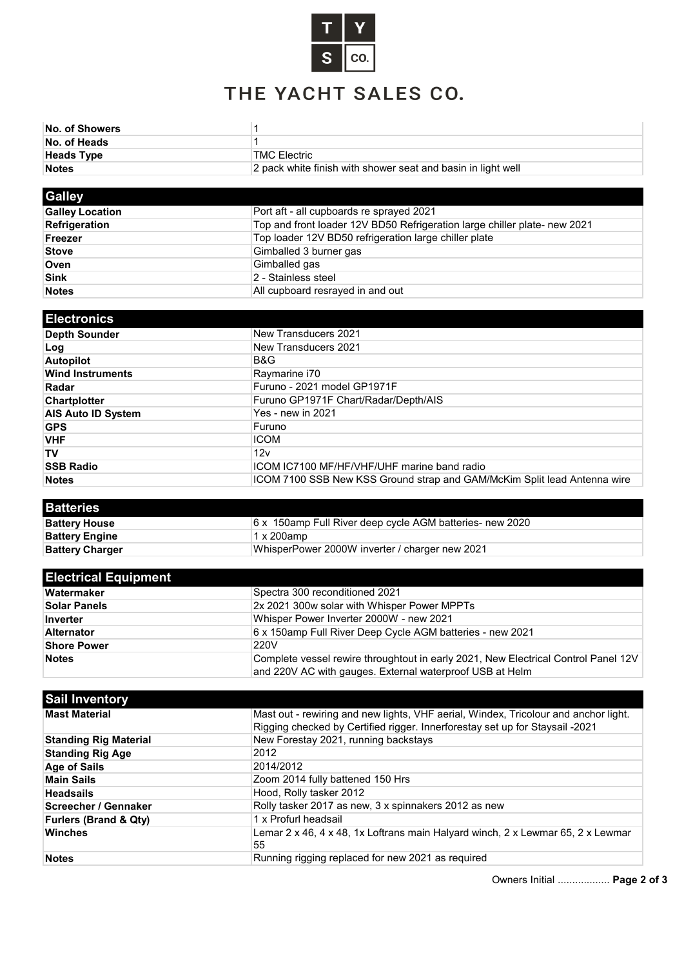

## THE YACHT SALES CO.

| <b>No. of Showers</b> |                                                              |
|-----------------------|--------------------------------------------------------------|
| No. of Heads          |                                                              |
| <b>Heads Type</b>     | TMC Electric                                                 |
| <b>Notes</b>          | 2 pack white finish with shower seat and basin in light well |
|                       |                                                              |

| <b>Galley</b>          |                                                                           |
|------------------------|---------------------------------------------------------------------------|
| <b>Galley Location</b> | Port aft - all cupboards re sprayed 2021                                  |
| <b>Refrigeration</b>   | Top and front loader 12V BD50 Refrigeration large chiller plate- new 2021 |
| Freezer                | Top loader 12V BD50 refrigeration large chiller plate                     |
| <b>Stove</b>           | Gimballed 3 burner gas                                                    |
| Oven                   | Gimballed gas                                                             |
| <b>Sink</b>            | 2 - Stainless steel                                                       |
| <b>Notes</b>           | All cupboard resrayed in and out                                          |

| <b>Electronics</b>        |                                                                          |
|---------------------------|--------------------------------------------------------------------------|
| Depth Sounder             | New Transducers 2021                                                     |
| Log                       | New Transducers 2021                                                     |
| <b>Autopilot</b>          | B&G                                                                      |
| <b>Wind Instruments</b>   | Raymarine i70                                                            |
| Radar                     | Furuno - 2021 model GP1971F                                              |
| <b>Chartplotter</b>       | Furuno GP1971F Chart/Radar/Depth/AIS                                     |
| <b>AIS Auto ID System</b> | <b>Yes - new in 2021</b>                                                 |
| <b>GPS</b>                | Furuno                                                                   |
| <b>VHF</b>                | <b>ICOM</b>                                                              |
| TV                        | 12v                                                                      |
| <b>SSB Radio</b>          | ICOM IC7100 MF/HF/VHF/UHF marine band radio                              |
| <b>Notes</b>              | ICOM 7100 SSB New KSS Ground strap and GAM/McKim Split lead Antenna wire |

| <b>Batteries</b>       |                                                          |
|------------------------|----------------------------------------------------------|
| <b>Battery House</b>   | 6 x 150amp Full River deep cycle AGM batteries- new 2020 |
| <b>Battery Engine</b>  | $1 \times 200$ amp                                       |
| <b>Battery Charger</b> | WhisperPower 2000W inverter / charger new 2021           |

| <b>Electrical Equipment</b> |                                                                                                                                                |
|-----------------------------|------------------------------------------------------------------------------------------------------------------------------------------------|
| Watermaker                  | Spectra 300 reconditioned 2021                                                                                                                 |
| <b>Solar Panels</b>         | 2x 2021 300w solar with Whisper Power MPPTs                                                                                                    |
| Inverter                    | Whisper Power Inverter 2000W - new 2021                                                                                                        |
| <b>Alternator</b>           | 6 x 150amp Full River Deep Cycle AGM batteries - new 2021                                                                                      |
| <b>Shore Power</b>          | 220V                                                                                                                                           |
| <b>Notes</b>                | Complete vessel rewire throughtout in early 2021, New Electrical Control Panel 12V<br>and 220V AC with gauges. External waterproof USB at Helm |

| <b>Sail Inventory</b>            |                                                                                     |
|----------------------------------|-------------------------------------------------------------------------------------|
| <b>Mast Material</b>             | Mast out - rewiring and new lights, VHF aerial, Windex, Tricolour and anchor light. |
|                                  | Rigging checked by Certified rigger. Innerforestay set up for Staysail -2021        |
| <b>Standing Rig Material</b>     | New Forestay 2021, running backstays                                                |
| <b>Standing Rig Age</b>          | 2012                                                                                |
| <b>Age of Sails</b>              | 2014/2012                                                                           |
| <b>Main Sails</b>                | Zoom 2014 fully battened 150 Hrs                                                    |
| <b>Headsails</b>                 | Hood, Rolly tasker 2012                                                             |
| Screecher / Gennaker             | Rolly tasker 2017 as new, 3 x spinnakers 2012 as new                                |
| <b>Furlers (Brand &amp; Qty)</b> | 1 x Profurl headsail                                                                |
| <b>Winches</b>                   | Lemar 2 x 46, 4 x 48, 1x Loftrans main Halyard winch, 2 x Lewmar 65, 2 x Lewmar     |
|                                  | 55                                                                                  |
| <b>Notes</b>                     | Running rigging replaced for new 2021 as required                                   |

Owners Initial .................. **Page 2 of 3**